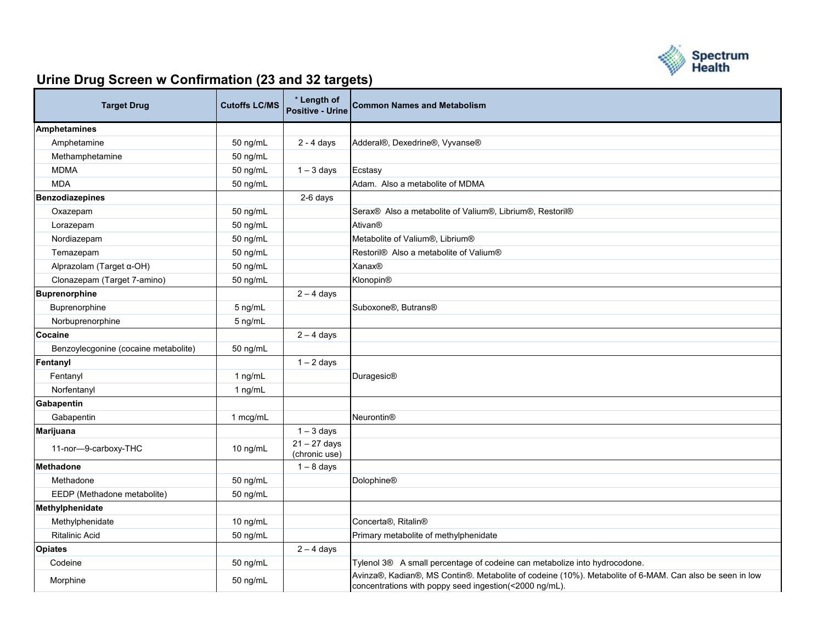

## **Urine Drug Screen w Confirmation (23 and 32 targets)**

| <b>Target Drug</b>                   | <b>Cutoffs LC/MS</b> | * Length of<br><b>Positive - Urine</b> | <b>Common Names and Metabolism</b>                                                                                                                                |
|--------------------------------------|----------------------|----------------------------------------|-------------------------------------------------------------------------------------------------------------------------------------------------------------------|
| <b>Amphetamines</b>                  |                      |                                        |                                                                                                                                                                   |
| Amphetamine                          | 50 ng/mL             | $2 - 4$ days                           | Adderal®, Dexedrine®, Vyvanse®                                                                                                                                    |
| Methamphetamine                      | 50 ng/mL             |                                        |                                                                                                                                                                   |
| <b>MDMA</b>                          | 50 ng/mL             | $1 - 3$ days                           | Ecstasy                                                                                                                                                           |
| <b>MDA</b>                           | 50 ng/mL             |                                        | Adam. Also a metabolite of MDMA                                                                                                                                   |
| <b>Benzodiazepines</b>               |                      | 2-6 days                               |                                                                                                                                                                   |
| Oxazepam                             | 50 ng/mL             |                                        | Serax® Also a metabolite of Valium®, Librium®, Restoril®                                                                                                          |
| Lorazepam                            | 50 ng/mL             |                                        | Ativan <sup>®</sup>                                                                                                                                               |
| Nordiazepam                          | 50 ng/mL             |                                        | Metabolite of Valium®, Librium®                                                                                                                                   |
| Temazepam                            | 50 ng/mL             |                                        | Restoril® Also a metabolite of Valium®                                                                                                                            |
| Alprazolam (Target α-OH)             | 50 ng/mL             |                                        | <b>Xanax®</b>                                                                                                                                                     |
| Clonazepam (Target 7-amino)          | 50 ng/mL             |                                        | Klonopin®                                                                                                                                                         |
| <b>Buprenorphine</b>                 |                      | $2 - 4$ days                           |                                                                                                                                                                   |
| Buprenorphine                        | 5 ng/mL              |                                        | Suboxone <sup>®</sup> , Butrans <sup>®</sup>                                                                                                                      |
| Norbuprenorphine                     | 5 ng/mL              |                                        |                                                                                                                                                                   |
| Cocaine                              |                      | $2 - 4$ days                           |                                                                                                                                                                   |
| Benzoylecgonine (cocaine metabolite) | 50 ng/mL             |                                        |                                                                                                                                                                   |
| Fentanyl                             |                      | $1 - 2$ days                           |                                                                                                                                                                   |
| Fentanyl                             | 1 ng/mL              |                                        | Duragesic®                                                                                                                                                        |
| Norfentanyl                          | 1 ng/mL              |                                        |                                                                                                                                                                   |
| Gabapentin                           |                      |                                        |                                                                                                                                                                   |
| Gabapentin                           | 1 mcg/mL             |                                        | <b>Neurontin®</b>                                                                                                                                                 |
| <b>Marijuana</b>                     |                      | $1 - 3$ days                           |                                                                                                                                                                   |
| 11-nor-9-carboxy-THC                 | 10 ng/mL             | $21 - 27$ days<br>(chronic use)        |                                                                                                                                                                   |
| <b>Methadone</b>                     |                      | $1 - 8$ days                           |                                                                                                                                                                   |
| Methadone                            | 50 ng/mL             |                                        | <b>Dolophine®</b>                                                                                                                                                 |
| EEDP (Methadone metabolite)          | 50 ng/mL             |                                        |                                                                                                                                                                   |
| Methylphenidate                      |                      |                                        |                                                                                                                                                                   |
| Methylphenidate                      | 10 ng/mL             |                                        | Concerta <sup>®</sup> , Ritalin <sup>®</sup>                                                                                                                      |
| <b>Ritalinic Acid</b>                | 50 ng/mL             |                                        | Primary metabolite of methylphenidate                                                                                                                             |
| <b>Opiates</b>                       |                      | $2 - 4$ days                           |                                                                                                                                                                   |
| Codeine                              | 50 ng/mL             |                                        | Tylenol 3® A small percentage of codeine can metabolize into hydrocodone.                                                                                         |
| Morphine                             | 50 ng/mL             |                                        | Avinza®, Kadian®, MS Contin®. Metabolite of codeine (10%). Metabolite of 6-MAM. Can also be seen in low<br>concentrations with poppy seed ingestion(<2000 ng/mL). |